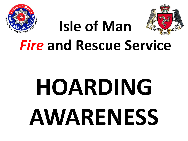



# **Isle of Man**  *Fire* **and Rescue Service**

# **HOARDING AWARENESS**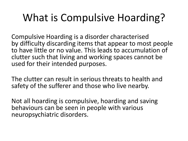# What is Compulsive Hoarding?

Compulsive Hoarding is a disorder characterised by difficulty discarding items that appear to most people to have little or no value. This leads to accumulation of clutter such that living and working spaces cannot be used for their intended purposes.

The clutter can result in serious threats to health and safety of the sufferer and those who live nearby.

Not all hoarding is compulsive, hoarding and saving behaviours can be seen in people with various neuropsychiatric disorders.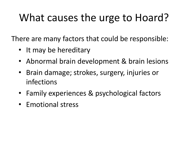## What causes the urge to Hoard?

There are many factors that could be responsible:

- It may be hereditary
- Abnormal brain development & brain lesions
- Brain damage; strokes, surgery, injuries or infections
- Family experiences & psychological factors
- Emotional stress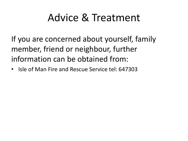#### Advice & Treatment

If you are concerned about yourself, family member, friend or neighbour, further information can be obtained from:

• Isle of Man Fire and Rescue Service tel: 647303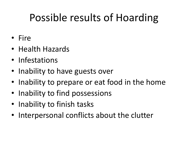# Possible results of Hoarding

- Fire
- Health Hazards
- Infestations
- Inability to have guests over
- Inability to prepare or eat food in the home
- Inability to find possessions
- Inability to finish tasks
- Interpersonal conflicts about the clutter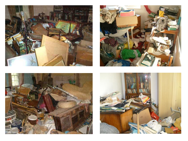





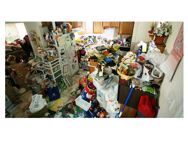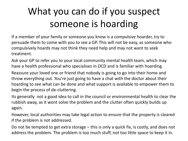#### What you can do if you suspect someone is hoarding

If a member of your family or someone you know is a compulsive hoarder, try to persuade them to come with you to see a GP. This will not be easy, as someone who compulsively hoards may not think they need help and may not want to seek treatment.

Ask your GP to refer you to your local community mental health team, which may have a health professional who specialises in OCD and is familiar with hoarding.

Reassure your loved one or friend that nobody is going to go into their home and throw everything out. You're just going to have a chat with the doctor about their hoarding to see what can be done and what support is available to empower them to begin the process of de-cluttering.

Its generally not a good idea to call in the council or environmental health to clear the rubbish away, as it wont solve the problem and the clutter often quickly builds up again.

However, local authorities may take legal action to ensure that the property is cleared if the problem is not addressed.

Do not be tempted to get extra storage – this is only a quick fix, is costly, and does not address the problem. The problem is too much stuff, not too little space to keep it in.